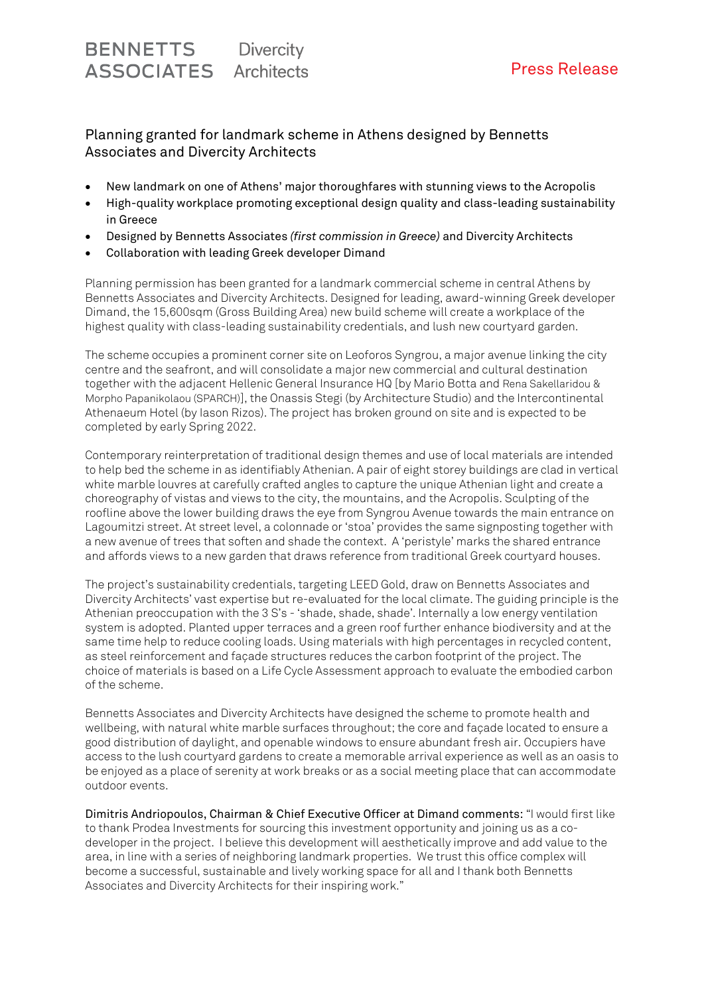### Planning granted for landmark scheme in Athens designed by Bennetts Associates and Divercity Architects

- New landmark on one of Athens' major thoroughfares with stunning views to the Acropolis
- High-quality workplace promoting exceptional design quality and class-leading sustainability in Greece
- Designed by Bennetts Associates *(first commission in Greece)* and Divercity Architects
- Collaboration with leading Greek developer Dimand

Planning permission has been granted for a landmark commercial scheme in central Athens by Bennetts Associates and Divercity Architects. Designed for leading, award-winning Greek developer Dimand, the 15,600sqm (Gross Building Area) new build scheme will create a workplace of the highest quality with class-leading sustainability credentials, and lush new courtyard garden.

The scheme occupies a prominent corner site on Leoforos Syngrou, a major avenue linking the city centre and the seafront, and will consolidate a major new commercial and cultural destination together with the adjacent Hellenic General Insurance HQ [by Mario Botta and Rena Sakellaridou & Morpho Papanikolaou (SPARCH)], the Onassis Stegi (by Architecture Studio) and the Intercontinental Athenaeum Hotel (by Iason Rizos). The project has broken ground on site and is expected to be completed by early Spring 2022.

Contemporary reinterpretation of traditional design themes and use of local materials are intended to help bed the scheme in as identifiably Athenian. A pair of eight storey buildings are clad in vertical white marble louvres at carefully crafted angles to capture the unique Athenian light and create a choreography of vistas and views to the city, the mountains, and the Acropolis. Sculpting of the roofline above the lower building draws the eye from Syngrou Avenue towards the main entrance on Lagoumitzi street. At street level, a colonnade or 'stoa' provides the same signposting together with a new avenue of trees that soften and shade the context. A 'peristyle' marks the shared entrance and affords views to a new garden that draws reference from traditional Greek courtyard houses.

The project's sustainability credentials, targeting LEED Gold, draw on Bennetts Associates and Divercity Architects' vast expertise but re-evaluated for the local climate. The guiding principle is the Athenian preoccupation with the 3 S's - 'shade, shade, shade'. Internally a low energy ventilation system is adopted. Planted upper terraces and a green roof further enhance biodiversity and at the same time help to reduce cooling loads. Using materials with high percentages in recycled content, as steel reinforcement and façade structures reduces the carbon footprint of the project. The choice of materials is based on a Life Cycle Assessment approach to evaluate the embodied carbon of the scheme.

Bennetts Associates and Divercity Architects have designed the scheme to promote health and wellbeing, with natural white marble surfaces throughout; the core and façade located to ensure a good distribution of daylight, and openable windows to ensure abundant fresh air. Occupiers have access to the lush courtyard gardens to create a memorable arrival experience as well as an oasis to be enjoyed as a place of serenity at work breaks or as a social meeting place that can accommodate outdoor events.

Dimitris Andriopoulos, Chairman & Chief Executive Officer at Dimand comments: "I would first like to thank Prodea Investments for sourcing this investment opportunity and joining us as a codeveloper in the project. I believe this development will aesthetically improve and add value to the area, in line with a series of neighboring landmark properties. We trust this office complex will become a successful, sustainable and lively working space for all and I thank both Bennetts Associates and Divercity Architects for their inspiring work."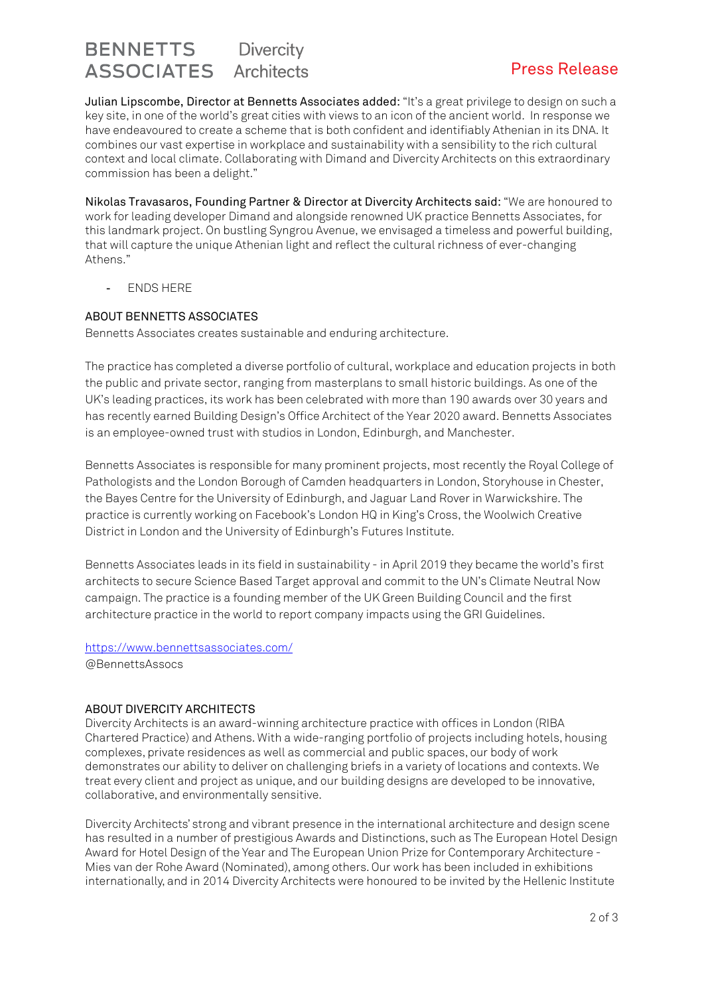# **BENNETTS** Divercity ASSOCIATES Architects **Example 20 Fress Release**

Julian Lipscombe, Director at Bennetts Associates added: "It's a great privilege to design on such a key site, in one of the world's great cities with views to an icon of the ancient world. In response we have endeavoured to create a scheme that is both confident and identifiably Athenian in its DNA. It combines our vast expertise in workplace and sustainability with a sensibility to the rich cultural context and local climate. Collaborating with Dimand and Divercity Architects on this extraordinary commission has been a delight."

Nikolas Travasaros, Founding Partner & Director at Divercity Architects said: "We are honoured to work for leading developer Dimand and alongside renowned UK practice Bennetts Associates, for this landmark project. On bustling Syngrou Avenue, we envisaged a timeless and powerful building, that will capture the unique Athenian light and reflect the cultural richness of ever-changing Athens."

ENDS HERE

### ABOUT BENNETTS ASSOCIATES

Bennetts Associates creates sustainable and enduring architecture.

The practice has completed a diverse portfolio of cultural, workplace and education projects in both the public and private sector, ranging from masterplans to small historic buildings. As one of the UK's leading practices, its work has been celebrated with more than 190 awards over 30 years and has recently earned Building Design's Office Architect of the Year 2020 award. Bennetts Associates is an employee-owned trust with studios in London, Edinburgh, and Manchester.

Bennetts Associates is responsible for many prominent projects, most recently the Royal College of Pathologists and the London Borough of Camden headquarters in London, Storyhouse in Chester, the Bayes Centre for the University of Edinburgh, and Jaguar Land Rover in Warwickshire. The practice is currently working on Facebook's London HQ in King's Cross, the Woolwich Creative District in London and the University of Edinburgh's Futures Institute.

Bennetts Associates leads in its field in sustainability - in April 2019 they became the world's first architects to secure Science Based Target approval and commit to the UN's Climate Neutral Now campaign. The practice is a founding member of the UK Green Building Council and the first architecture practice in the world to report company impacts using the GRI Guidelines.

<https://www.bennettsassociates.com/> @BennettsAssocs

### ABOUT DIVERCITY ARCHITECTS

Divercity Architects is an award-winning architecture practice with offices in London (RIBA Chartered Practice) and Athens. With a wide-ranging portfolio of projects including hotels, housing complexes, private residences as well as commercial and public spaces, our body of work demonstrates our ability to deliver on challenging briefs in a variety of locations and contexts. We treat every client and project as unique, and our building designs are developed to be innovative, collaborative, and environmentally sensitive.

Divercity Architects' strong and vibrant presence in the international architecture and design scene has resulted in a number of prestigious Awards and Distinctions, such as The European Hotel Design Award for Hotel Design of the Year and The European Union Prize for Contemporary Architecture - Mies van der Rohe Award (Nominated), among others. Our work has been included in exhibitions internationally, and in 2014 Divercity Architects were honoured to be invited by the Hellenic Institute